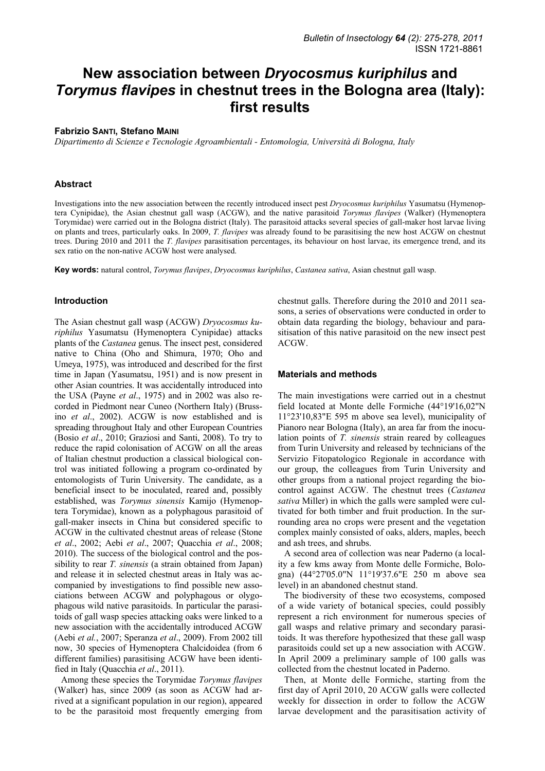# **New association between** *Dryocosmus kuriphilus* **and**  *Torymus flavipes* **in chestnut trees in the Bologna area (Italy): first results**

### **Fabrizio SANTI, Stefano MAINI**

*Dipartimento di Scienze e Tecnologie Agroambientali - Entomologia, Università di Bologna, Italy* 

#### **Abstract**

Investigations into the new association between the recently introduced insect pest *Dryocosmus kuriphilus* Yasumatsu (Hymenoptera Cynipidae), the Asian chestnut gall wasp (ACGW), and the native parasitoid *Torymus flavipes* (Walker) (Hymenoptera Torymidae) were carried out in the Bologna district (Italy). The parasitoid attacks several species of gall-maker host larvae living on plants and trees, particularly oaks. In 2009, *T. flavipes* was already found to be parasitising the new host ACGW on chestnut trees. During 2010 and 2011 the *T. flavipes* parasitisation percentages, its behaviour on host larvae, its emergence trend, and its sex ratio on the non-native ACGW host were analysed.

**Key words:** natural control, *Torymus flavipes*, *Dryocosmus kuriphilus*, *Castanea sativa*, Asian chestnut gall wasp.

#### **Introduction**

The Asian chestnut gall wasp (ACGW) *Dryocosmus kuriphilus* Yasumatsu (Hymenoptera Cynipidae) attacks plants of the *Castanea* genus. The insect pest, considered native to China (Oho and Shimura, 1970; Oho and Umeya, 1975), was introduced and described for the first time in Japan (Yasumatsu, 1951) and is now present in other Asian countries. It was accidentally introduced into the USA (Payne *et al*., 1975) and in 2002 was also recorded in Piedmont near Cuneo (Northern Italy) (Brussino *et al*., 2002). ACGW is now established and is spreading throughout Italy and other European Countries (Bosio *et al*., 2010; Graziosi and Santi, 2008). To try to reduce the rapid colonisation of ACGW on all the areas of Italian chestnut production a classical biological control was initiated following a program co-ordinated by entomologists of Turin University. The candidate, as a beneficial insect to be inoculated, reared and, possibly established, was *Torymus sinensis* Kamijo (Hymenoptera Torymidae), known as a polyphagous parasitoid of gall-maker insects in China but considered specific to ACGW in the cultivated chestnut areas of release (Stone *et al*., 2002; Aebi *et al*., 2007; Quacchia *et al*., 2008; 2010). The success of the biological control and the possibility to rear *T. sinensis* (a strain obtained from Japan) and release it in selected chestnut areas in Italy was accompanied by investigations to find possible new associations between ACGW and polyphagous or olygophagous wild native parasitoids. In particular the parasitoids of gall wasp species attacking oaks were linked to a new association with the accidentally introduced ACGW (Aebi *et al.*, 2007; Speranza *et al*., 2009). From 2002 till now, 30 species of Hymenoptera Chalcidoidea (from 6 different families) parasitising ACGW have been identified in Italy (Quacchia *et al*., 2011).

Among these species the Torymidae *Torymus flavipes* (Walker) has, since 2009 (as soon as ACGW had arrived at a significant population in our region), appeared to be the parasitoid most frequently emerging from chestnut galls. Therefore during the 2010 and 2011 seasons, a series of observations were conducted in order to obtain data regarding the biology, behaviour and parasitisation of this native parasitoid on the new insect pest ACGW.

### **Materials and methods**

The main investigations were carried out in a chestnut field located at Monte delle Formiche (44°19'16,02"N 11°23'10,83"E 595 m above sea level), municipality of Pianoro near Bologna (Italy), an area far from the inoculation points of *T. sinensis* strain reared by colleagues from Turin University and released by technicians of the Servizio Fitopatologico Regionale in accordance with our group, the colleagues from Turin University and other groups from a national project regarding the biocontrol against ACGW. The chestnut trees (*Castanea sativa* Miller) in which the galls were sampled were cultivated for both timber and fruit production. In the surrounding area no crops were present and the vegetation complex mainly consisted of oaks, alders, maples, beech and ash trees, and shrubs.

A second area of collection was near Paderno (a locality a few kms away from Monte delle Formiche, Bologna) (44°27'05.0"N 11°19'37.6"E 250 m above sea level) in an abandoned chestnut stand.

The biodiversity of these two ecosystems, composed of a wide variety of botanical species, could possibly represent a rich environment for numerous species of gall wasps and relative primary and secondary parasitoids. It was therefore hypothesized that these gall wasp parasitoids could set up a new association with ACGW. In April 2009 a preliminary sample of 100 galls was collected from the chestnut located in Paderno.

Then, at Monte delle Formiche, starting from the first day of April 2010, 20 ACGW galls were collected weekly for dissection in order to follow the ACGW larvae development and the parasitisation activity of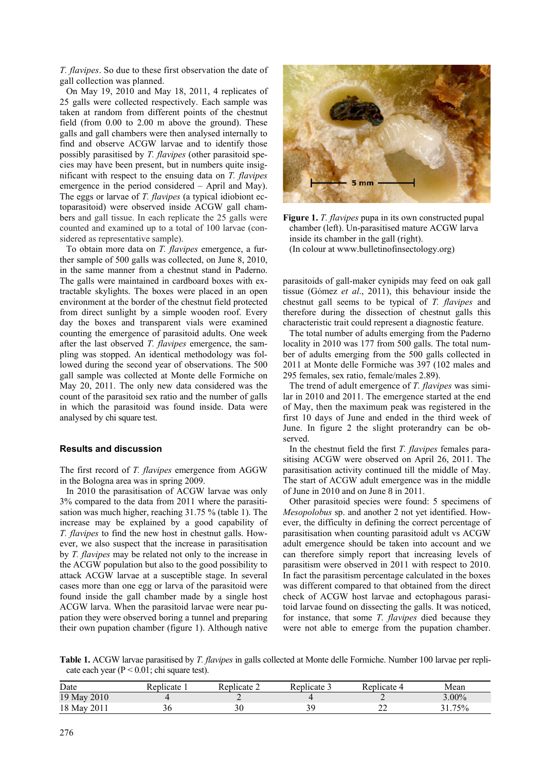*T. flavipes*. So due to these first observation the date of gall collection was planned.

On May 19, 2010 and May 18, 2011, 4 replicates of 25 galls were collected respectively. Each sample was taken at random from different points of the chestnut field (from 0.00 to 2.00 m above the ground). These galls and gall chambers were then analysed internally to find and observe ACGW larvae and to identify those possibly parasitised by *T. flavipes* (other parasitoid species may have been present, but in numbers quite insignificant with respect to the ensuing data on *T. flavipes* emergence in the period considered – April and May). The eggs or larvae of *T. flavipes* (a typical idiobiont ectoparasitoid) were observed inside ACGW gall chambers and gall tissue. In each replicate the 25 galls were counted and examined up to a total of 100 larvae (considered as representative sample).

To obtain more data on *T. flavipes* emergence, a further sample of 500 galls was collected, on June 8, 2010, in the same manner from a chestnut stand in Paderno. The galls were maintained in cardboard boxes with extractable skylights. The boxes were placed in an open environment at the border of the chestnut field protected from direct sunlight by a simple wooden roof. Every day the boxes and transparent vials were examined counting the emergence of parasitoid adults. One week after the last observed *T. flavipes* emergence, the sampling was stopped. An identical methodology was followed during the second year of observations. The 500 gall sample was collected at Monte delle Formiche on May 20, 2011. The only new data considered was the count of the parasitoid sex ratio and the number of galls in which the parasitoid was found inside. Data were analysed by chi square test.

## **Results and discussion**

The first record of *T. flavipes* emergence from AGGW in the Bologna area was in spring 2009.

In 2010 the parasitisation of ACGW larvae was only 3% compared to the data from 2011 where the parasitisation was much higher, reaching 31.75 % (table 1). The increase may be explained by a good capability of *T. flavipes* to find the new host in chestnut galls. However, we also suspect that the increase in parasitisation by *T. flavipes* may be related not only to the increase in the ACGW population but also to the good possibility to attack ACGW larvae at a susceptible stage. In several cases more than one egg or larva of the parasitoid were found inside the gall chamber made by a single host ACGW larva. When the parasitoid larvae were near pupation they were observed boring a tunnel and preparing their own pupation chamber (figure 1). Although native



**Figure 1.** *T. flavipes* pupa in its own constructed pupal chamber (left). Un-parasitised mature ACGW larva inside its chamber in the gall (right). (In colour at www.bulletinofinsectology.org)

parasitoids of gall-maker cynipids may feed on oak gall tissue (Gómez *et al*., 2011), this behaviour inside the chestnut gall seems to be typical of *T. flavipes* and therefore during the dissection of chestnut galls this characteristic trait could represent a diagnostic feature.

The total number of adults emerging from the Paderno locality in 2010 was 177 from 500 galls. The total number of adults emerging from the 500 galls collected in 2011 at Monte delle Formiche was 397 (102 males and 295 females, sex ratio, female/males 2.89).

The trend of adult emergence of *T. flavipes* was similar in 2010 and 2011. The emergence started at the end of May, then the maximum peak was registered in the first 10 days of June and ended in the third week of June. In figure 2 the slight proterandry can be observed.

In the chestnut field the first *T. flavipes* females parasitising ACGW were observed on April 26, 2011. The parasitisation activity continued till the middle of May. The start of ACGW adult emergence was in the middle of June in 2010 and on June 8 in 2011.

Other parasitoid species were found: 5 specimens of *Mesopolobus* sp. and another 2 not yet identified. However, the difficulty in defining the correct percentage of parasitisation when counting parasitoid adult vs ACGW adult emergence should be taken into account and we can therefore simply report that increasing levels of parasitism were observed in 2011 with respect to 2010. In fact the parasitism percentage calculated in the boxes was different compared to that obtained from the direct check of ACGW host larvae and ectophagous parasitoid larvae found on dissecting the galls. It was noticed, for instance, that some *T. flavipes* died because they were not able to emerge from the pupation chamber.

**Table 1.** ACGW larvae parasitised by *T. flavipes* in galls collected at Monte delle Formiche. Number 100 larvae per replicate each year  $(P < 0.01$ ; chi square test).

| Date              | 'enlicate' | Replicate : | $\leq$ eplicate $\geq$ | Replicate | Mean |
|-------------------|------------|-------------|------------------------|-----------|------|
| 19 May 2010       |            |             |                        |           | .00% |
| 2011<br>$18$ May' | 30         |             | : C                    | --        | 75%  |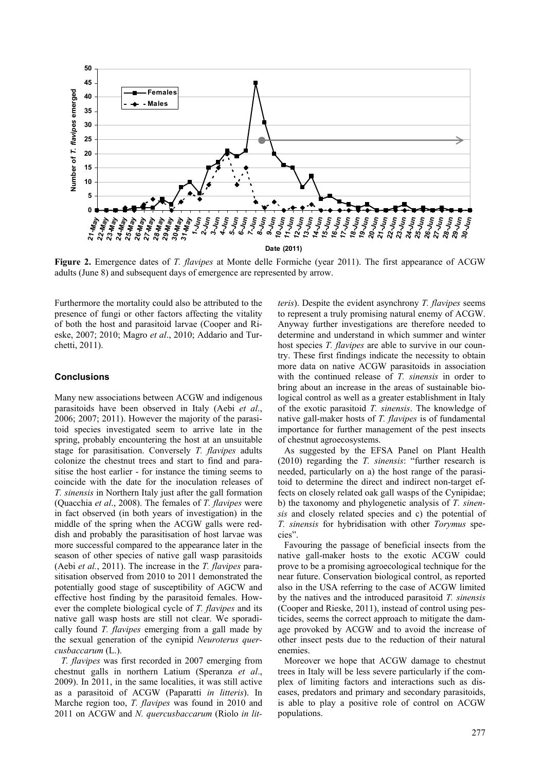

**Figure 2.** Emergence dates of *T. flavipes* at Monte delle Formiche (year 2011). The first appearance of ACGW adults (June 8) and subsequent days of emergence are represented by arrow.

Furthermore the mortality could also be attributed to the presence of fungi or other factors affecting the vitality of both the host and parasitoid larvae (Cooper and Rieske, 2007; 2010; Magro *et al*., 2010; Addario and Turchetti, 2011).

## **Conclusions**

Many new associations between ACGW and indigenous parasitoids have been observed in Italy (Aebi *et al*., 2006; 2007; 2011). However the majority of the parasitoid species investigated seem to arrive late in the spring, probably encountering the host at an unsuitable stage for parasitisation. Conversely *T. flavipes* adults colonize the chestnut trees and start to find and parasitise the host earlier - for instance the timing seems to coincide with the date for the inoculation releases of *T. sinensis* in Northern Italy just after the gall formation (Quacchia *et al*., 2008). The females of *T. flavipes* were in fact observed (in both years of investigation) in the middle of the spring when the ACGW galls were reddish and probably the parasitisation of host larvae was more successful compared to the appearance later in the season of other species of native gall wasp parasitoids (Aebi *et al.*, 2011). The increase in the *T. flavipes* parasitisation observed from 2010 to 2011 demonstrated the potentially good stage of susceptibility of AGCW and effective host finding by the parasitoid females. However the complete biological cycle of *T. flavipes* and its native gall wasp hosts are still not clear. We sporadically found *T. flavipes* emerging from a gall made by the sexual generation of the cynipid *Neuroterus quercusbaccarum* (L.).

*T. flavipes* was first recorded in 2007 emerging from chestnut galls in northern Latium (Speranza *et al*., 2009). In 2011, in the same localities, it was still active as a parasitoid of ACGW (Paparatti *in litteris*). In Marche region too, *T. flavipes* was found in 2010 and 2011 on ACGW and *N. quercusbaccarum* (Riolo *in lit-*

*teris*). Despite the evident asynchrony *T. flavipes* seems to represent a truly promising natural enemy of ACGW. Anyway further investigations are therefore needed to determine and understand in which summer and winter host species *T. flavipes* are able to survive in our country. These first findings indicate the necessity to obtain more data on native ACGW parasitoids in association with the continued release of *T. sinensis* in order to bring about an increase in the areas of sustainable biological control as well as a greater establishment in Italy of the exotic parasitoid *T. sinensis*. The knowledge of native gall-maker hosts of *T. flavipes* is of fundamental importance for further management of the pest insects of chestnut agroecosystems.

As suggested by the EFSA Panel on Plant Health (2010) regarding the *T. sinensis*: "further research is needed, particularly on a) the host range of the parasitoid to determine the direct and indirect non-target effects on closely related oak gall wasps of the Cynipidae; b) the taxonomy and phylogenetic analysis of *T. sinensis* and closely related species and c) the potential of *T. sinensis* for hybridisation with other *Torymus* species".

Favouring the passage of beneficial insects from the native gall-maker hosts to the exotic ACGW could prove to be a promising agroecological technique for the near future. Conservation biological control, as reported also in the USA referring to the case of ACGW limited by the natives and the introduced parasitoid *T. sinensis* (Cooper and Rieske, 2011), instead of control using pesticides, seems the correct approach to mitigate the damage provoked by ACGW and to avoid the increase of other insect pests due to the reduction of their natural enemies.

Moreover we hope that ACGW damage to chestnut trees in Italy will be less severe particularly if the complex of limiting factors and interactions such as diseases, predators and primary and secondary parasitoids, is able to play a positive role of control on ACGW populations.